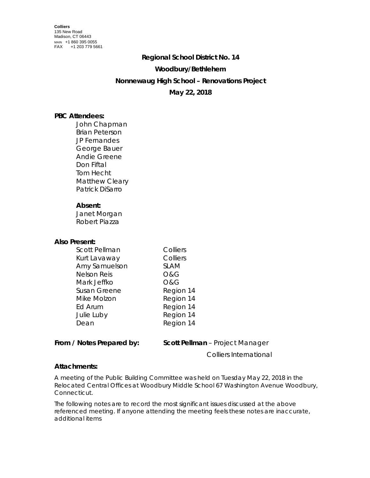#### **Regional School District No. 14**

### **Woodbury/Bethlehem**

## **Nonnewaug High School – Renovations Project**

# **May 22, 2018**

## **PBC Attendees:**

John Chapman Brian Peterson JP Fernandes George Bauer Andie Greene Don Fiftal Tom Hecht Matthew Cleary Patrick DiSarro

### **Absent:**

Janet Morgan Robert Piazza

#### **Also Present:**

| <b>Scott Pellman</b> | Colliers    |
|----------------------|-------------|
| Kurt Lavaway         | Colliers    |
| Amy Samuelson        | <b>SLAM</b> |
| <b>Nelson Reis</b>   | 0&G         |
| Mark Jeffko          | O&G         |
| Susan Greene         | Region 14   |
| Mike Molzon          | Region 14   |
| Ed Arum              | Region 14   |
| Julie Luby           | Region 14   |
| Dean                 | Region 14   |
|                      |             |

**From / Notes Prepared by: Scott Pellman** – Project Manager

Colliers International

### **Attachments:**

A meeting of the Public Building Committee was held on Tuesday May 22, 2018 in the Relocated Central Offices at Woodbury Middle School 67 Washington Avenue Woodbury, Connecticut.

The following notes are to record the most significant issues discussed at the above referenced meeting. If anyone attending the meeting feels these notes are inaccurate, additional items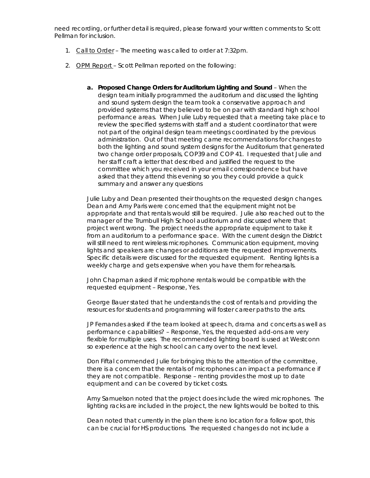need recording, or further detail is required, please forward your written comments to Scott Pellman for inclusion.

- 1. Call to Order The meeting was called to order at 7:32pm.
- 2. OPM Report Scott Pellman reported on the following:
	- **a. Proposed Change Orders for Auditorium Lighting and Sound**  When the design team initially programmed the auditorium and discussed the lighting and sound system design the team took a conservative approach and provided systems that they believed to be on par with standard high school performance areas. When Julie Luby requested that a meeting take place to review the specified systems with staff and a student coordinator that were not part of the original design team meetings coordinated by the previous administration. Out of that meeting came recommendations for changes to both the lighting and sound system designs for the Auditorium that generated two change order proposals, COP39 and COP 41. I requested that Julie and her staff craft a letter that described and justified the request to the committee which you received in your email correspondence but have asked that they attend this evening so you they could provide a quick summary and answer any questions

Julie Luby and Dean presented their thoughts on the requested design changes. Dean and Amy Paris were concerned that the equipment might not be appropriate and that rentals would still be required. Julie also reached out to the manager of the Trumbull High School auditorium and discussed where that project went wrong. The project needs the appropriate equipment to take it from an auditorium to a performance space. With the current design the District will still need to rent wireless microphones. Communication equipment, moving lights and speakers are changes or additions are the requested improvements. Specific details were discussed for the requested equipment. Renting lights is a weekly charge and gets expensive when you have them for rehearsals.

John Chapman asked if microphone rentals would be compatible with the requested equipment – Response, Yes.

George Bauer stated that he understands the cost of rentals and providing the resources for students and programming will foster career paths to the arts.

JP Fernandes asked if the team looked at speech, drama and concerts as well as performance capabilities? – Response, Yes, the requested add-ons are very flexible for multiple uses. The recommended lighting board is used at Westconn so experience at the high school can carry over to the next level.

Don Fiftal commended Julie for bringing this to the attention of the committee, there is a concern that the rentals of microphones can impact a performance if they are not compatible. Response – renting provides the most up to date equipment and can be covered by ticket costs.

Amy Samuelson noted that the project does include the wired microphones. The lighting racks are included in the project, the new lights would be bolted to this.

Dean noted that currently in the plan there is no location for a follow spot, this can be crucial for HS productions. The requested changes do not include a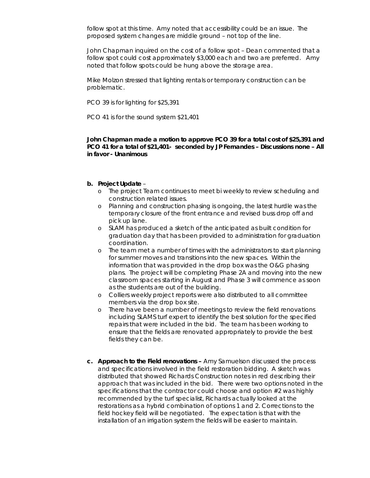follow spot at this time. Amy noted that accessibility could be an issue. The proposed system changes are middle ground – not top of the line.

John Chapman inquired on the cost of a follow spot – Dean commented that a follow spot could cost approximately \$3,000 each and two are preferred. Amy noted that follow spots could be hung above the storage area.

Mike Molzon stressed that lighting rentals or temporary construction can be problematic.

PCO 39 is for lighting for \$25,391

PCO 41 is for the sound system \$21,401

**John Chapman made a motion to approve PCO 39 for a total cost of \$25,391 and PCO 41 for a total of \$21,401- seconded by JP Fernandes – Discussions none – All in favor - Unanimous**

#### **b. Project Update** –

- o The project Team continues to meet bi weekly to review scheduling and construction related issues.
- o Planning and construction phasing is ongoing, the latest hurdle was the temporary closure of the front entrance and revised buss drop off and pick up lane.
- o SLAM has produced a sketch of the anticipated as built condition for graduation day that has been provided to administration for graduation coordination.
- o The team met a number of times with the administrators to start planning for summer moves and transitions into the new spaces. Within the information that was provided in the drop box was the O&G phasing plans. The project will be completing Phase 2A and moving into the new classroom spaces starting in August and Phase 3 will commence as soon as the students are out of the building.
- o Colliers weekly project reports were also distributed to all committee members via the drop box site.
- o There have been a number of meetings to review the field renovations including SLAMS turf expert to identify the best solution for the specified repairs that were included in the bid. The team has been working to ensure that the fields are renovated appropriately to provide the best fields they can be.
- **c. Approach to the Field renovations –** Amy Samuelson discussed the process and specifications involved in the field restoration bidding. A sketch was distributed that showed Richards Construction notes in red describing their approach that was included in the bid. There were two options noted in the specifications that the contractor could choose and option #2 was highly recommended by the turf specialist, Richards actually looked at the restorations as a hybrid combination of options 1 and 2. Corrections to the field hockey field will be negotiated. The expectation is that with the installation of an irrigation system the fields will be easier to maintain.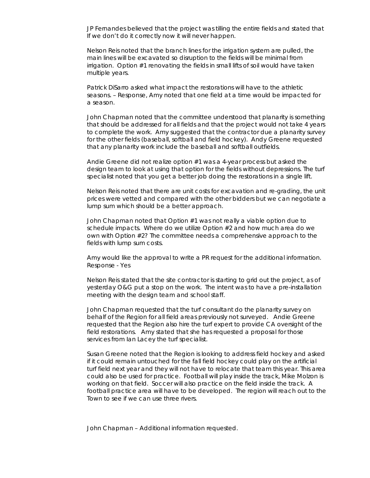JP Fernandes believed that the project was tilling the entire fields and stated that If we don't do it correctly now it will never happen.

Nelson Reis noted that the branch lines for the irrigation system are pulled, the main lines will be excavated so disruption to the fields will be minimal from irrigation. Option #1 renovating the fields in small lifts of soil would have taken multiple years.

Patrick DiSarro asked what impact the restorations will have to the athletic seasons. – Response, Amy noted that one field at a time would be impacted for a season.

John Chapman noted that the committee understood that planarity is something that should be addressed for all fields and that the project would not take 4 years to complete the work. Amy suggested that the contractor due a planarity survey for the other fields (baseball, softball and field hockey). Andy Greene requested that any planarity work include the baseball and softball outfields.

Andie Greene did not realize option #1 was a 4-year process but asked the design team to look at using that option for the fields without depressions. The turf specialist noted that you get a better job doing the restorations in a single lift.

Nelson Reis noted that there are unit costs for excavation and re-grading, the unit prices were vetted and compared with the other bidders but we can negotiate a lump sum which should be a better approach.

John Chapman noted that Option #1 was not really a viable option due to schedule impacts. Where do we utilize Option #2 and how much area do we own with Option #2? The committee needs a comprehensive approach to the fields with lump sum costs.

Amy would like the approval to write a PR request for the additional information. Response - Yes

Nelson Reis stated that the site contractor is starting to grid out the project, as of yesterday O&G put a stop on the work. The intent was to have a pre-installation meeting with the design team and school staff.

John Chapman requested that the turf consultant do the planarity survey on behalf of the Region for all field areas previously not surveyed. Andie Greene requested that the Region also hire the turf expert to provide CA oversight of the field restorations. Amy stated that she has requested a proposal for those services from Ian Lacey the turf specialist.

Susan Greene noted that the Region is looking to address field hockey and asked if it could remain untouched for the fall field hockey could play on the artificial turf field next year and they will not have to relocate that team this year. This area could also be used for practice. Football will play inside the track, Mike Molzon is working on that field. Soccer will also practice on the field inside the track. A football practice area will have to be developed. The region will reach out to the Town to see if we can use three rivers.

John Chapman – Additional information requested.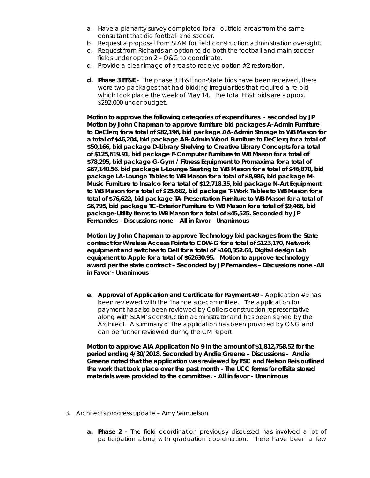- a. Have a planarity survey completed for all outfield areas from the same consultant that did football and soccer.
- b. Request a proposal from SLAM for field construction administration oversight.
- c. Request from Richards an option to do both the football and main soccer fields under option 2 – O&G to coordinate.
- d. Provide a clear image of areas to receive option #2 restoration.
- **d. Phase 3 FF&E**  The phase 3 FF&E non-State bids have been received, there were two packages that had bidding irregularities that required a re-bid which took place the week of May 14. The total FF&E bids are approx. \$292,000 under budget.

**Motion to approve the following categories of expenditures - seconded by JP Motion by John Chapman to approve furniture bid packages A-Admin Furniture to DeClerq for a total of \$82,196, bid package AA-Admin Storage to WB Mason for a total of \$46,204, bid package AB-Admin Wood Furniture to DeClerq for a total of \$50,166, bid package D-Library Shelving to Creative Library Concepts for a total of \$125,619.91, bid package F-Computer Furniture to WB Mason for a total of \$78,295, bid package G-Gym / Fitness Equipment to Promaxima for a total of \$67,140.56. bid package L-Lounge Seating to WB Mason for a total of \$46,870, bid package LA-Lounge Tables to WB Mason for a total of \$8,986, bid package M-Music Furniture to Insalco for a total of \$12,718.35, bid package N-Art Equipment to WB Mason for a total of \$25,682, bid package T-Work Tables to WB Mason for a total of \$76,622, bid package TA-Presentation Furniture to WB Mason for a total of \$6,795, bid package TC-Exterior Furniture to WB Mason for a total of \$9,466, bid package-Utility Items to WB Mason for a total of \$45,525. Seconded by JP Fernandes – Discussions none – All in favor - Unanimous**

**Motion by John Chapman to approve Technology bid packages from the State contract for Wireless Access Points to CDW-G for a total of \$123,170, Network equipment and switches to Dell for a total of \$160,352.64, Digital design Lab equipment to Apple for a total of \$62630.95. Motion to approve technology award per the state contract – Seconded by JP Fernandes – Discussions none -All in Favor - Unanimous**

**e. Approval of Application and Certificate for Payment #9** – Application #9 has been reviewed with the finance sub-committee. The application for payment has also been reviewed by Colliers construction representative along with SLAM's construction administrator and has been signed by the Architect. A summary of the application has been provided by O&G and can be further reviewed during the CM report.

**Motion to approve AIA Application No 9 in the amount of \$1,812,758.52 for the period ending 4/30/2018. Seconded by Andie Greene – Discussions – Andie Greene noted that the application was reviewed by FSC and Nelson Reis outlined the work that took place over the past month - The UCC forms for offsite stored materials were provided to the committee. – All in favor – Unanimous** 

- 3. Architects progress update Amy Samuelson
	- **a. Phase 2 –** The field coordination previously discussed has involved a lot of participation along with graduation coordination. There have been a few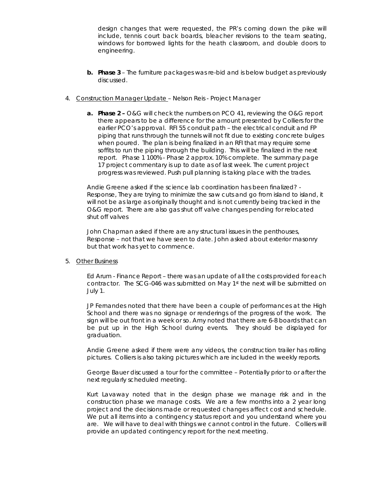design changes that were requested, the PR's coming down the pike will include, tennis court back boards, bleacher revisions to the team seating, windows for borrowed lights for the heath classroom, and double doors to engineering.

- **b. Phase 3** The furniture packages was re-bid and is below budget as previously discussed.
- 4. Construction Manager Update Nelson Reis Project Manager
	- **a. Phase 2 –** O&G will check the numbers on PCO 41, reviewing the O&G report there appears to be a difference for the amount presented by Colliers for the earlier PCO's approval. RFI 55 conduit path – the electrical conduit and FP piping that runs through the tunnels will not fit due to existing concrete bulges when poured. The plan is being finalized in an RFI that may require some soffits to run the piping through the building. This will be finalized in the next report. Phase 1 100% - Phase 2 approx. 10% complete. The summary page 17 project commentary is up to date as of last week. The current project progress was reviewed. Push pull planning is taking place with the trades.

Andie Greene asked if the science lab coordination has been finalized? - Response, They are trying to minimize the saw cuts and go from island to island, it will not be as large as originally thought and is not currently being tracked in the O&G report. There are also gas shut off valve changes pending for relocated shut off valves

John Chapman asked if there are any structural issues in the penthouses, Response – not that we have seen to date. John asked about exterior masonry but that work has yet to commence.

#### 5. Other Business

Ed Arum - Finance Report – there was an update of all the costs provided for each contractor. The SCG-046 was submitted on May 1st the next will be submitted on July 1.

JP Fernandes noted that there have been a couple of performances at the High School and there was no signage or renderings of the progress of the work. The sign will be out front in a week or so. Amy noted that there are 6-8 boards that can be put up in the High School during events. They should be displayed for graduation.

Andie Greene asked if there were any videos, the construction trailer has rolling pictures. Colliers is also taking pictures which are included in the weekly reports.

George Bauer discussed a tour for the committee – Potentially prior to or after the next regularly scheduled meeting.

Kurt Lavaway noted that in the design phase we manage risk and in the construction phase we manage costs. We are a few months into a 2 year long project and the decisions made or requested changes affect cost and schedule. We put all items into a contingency status report and you understand where you are. We will have to deal with things we cannot control in the future. Colliers will provide an updated contingency report for the next meeting.